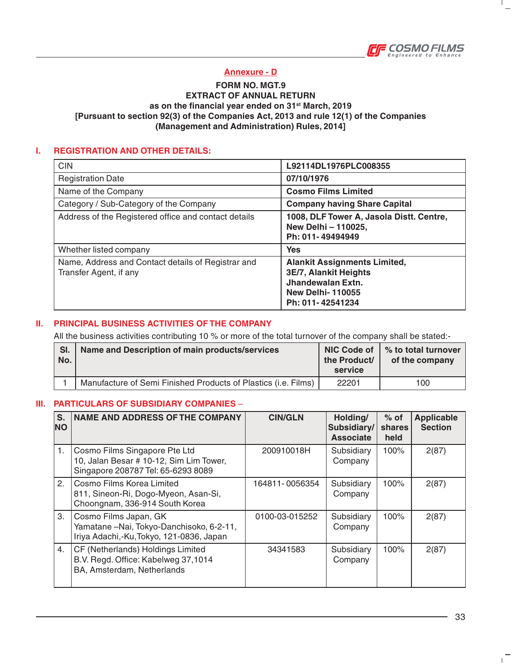

 $\mathbf{I}$ 

## **Annexure - D**

## **FORM NO. MGT.9 EXTRACT OF ANNUAL RETURN as on the financial year ended on 31st March, 2019 [Pursuant to section 92(3) of the Companies Act, 2013 and rule 12(1) of the Companies (Management and Administration) Rules, 2014]**

## **I. REGISTRATION AND OTHER DETAILS:**

| <b>CIN</b>                                                                   | L92114DL1976PLC008355                                                                                                            |
|------------------------------------------------------------------------------|----------------------------------------------------------------------------------------------------------------------------------|
| <b>Registration Date</b>                                                     | 07/10/1976                                                                                                                       |
| Name of the Company                                                          | <b>Cosmo Films Limited</b>                                                                                                       |
| Category / Sub-Category of the Company                                       | <b>Company having Share Capital</b>                                                                                              |
| Address of the Registered office and contact details                         | 1008, DLF Tower A, Jasola Distt. Centre,<br>New Delhi - 110025,<br>Ph: 011-49494949                                              |
| Whether listed company                                                       | <b>Yes</b>                                                                                                                       |
| Name, Address and Contact details of Registrar and<br>Transfer Agent, if any | <b>Alankit Assignments Limited,</b><br>3E/7, Alankit Heights<br>Jhandewalan Extn.<br><b>New Delhi-110055</b><br>Ph: 011-42541234 |

### **II. PRINCIPAL BUSINESS ACTIVITIES OF THE COMPANY**

All the business activities contributing 10 % or more of the total turnover of the company shall be stated:-

| SI. | Name and Description of main products/services                 | the Product/ | NIC Code of $\mid$ % to total turnover |
|-----|----------------------------------------------------------------|--------------|----------------------------------------|
| No. |                                                                | service      | of the company                         |
|     | Manufacture of Semi Finished Products of Plastics (i.e. Films) | 22201        | 100                                    |

### **III. PARTICULARS OF SUBSIDIARY COMPANIES** –

| S.<br><b>NO</b> | <b>NAME AND ADDRESS OF THE COMPANY</b>                                                                         | <b>CIN/GLN</b> | Holding/<br>Subsidiary/<br><b>Associate</b> | $%$ of<br>shares<br>held | <b>Applicable</b><br><b>Section</b> |
|-----------------|----------------------------------------------------------------------------------------------------------------|----------------|---------------------------------------------|--------------------------|-------------------------------------|
| 1.              | Cosmo Films Singapore Pte Ltd<br>10, Jalan Besar # 10-12, Sim Lim Tower,<br>Singapore 208787 Tel: 65-6293 8089 | 200910018H     | Subsidiary<br>Company                       | 100%                     | 2(87)                               |
| 2.              | l Cosmo Films Korea Limited<br>811, Sineon-Ri, Dogo-Myeon, Asan-Si,<br>Choongnam, 336-914 South Korea          | 164811-0056354 | Subsidiary<br>Company                       | 100%                     | 2(87)                               |
| 3.              | Cosmo Films Japan, GK<br>Yamatane-Nai, Tokyo-Danchisoko, 6-2-11,<br>Iriya Adachi,-Ku, Tokyo, 121-0836, Japan   | 0100-03-015252 | Subsidiary<br>Company                       | 100%                     | 2(87)                               |
| 4.              | CF (Netherlands) Holdings Limited<br>B.V. Regd. Office: Kabelweg 37,1014<br>BA, Amsterdam, Netherlands         | 34341583       | Subsidiary<br>Company                       | 100%                     | 2(87)                               |

 $\mathbf{L}$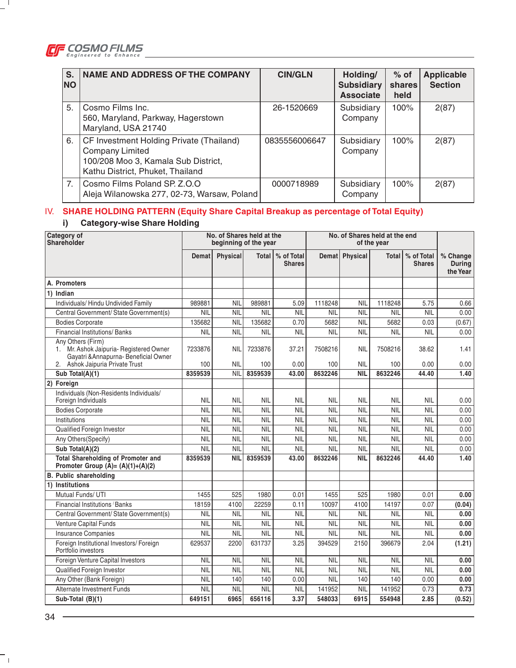

 $-$ <sup>1</sup>

| S.<br><b>NO</b> | <b>NAME AND ADDRESS OF THE COMPANY</b>                                                                                                        | <b>CIN/GLN</b> | Holding/<br><b>Subsidiary</b><br><b>Associate</b> | $%$ of<br>shares<br>held | <b>Applicable</b><br><b>Section</b> |
|-----------------|-----------------------------------------------------------------------------------------------------------------------------------------------|----------------|---------------------------------------------------|--------------------------|-------------------------------------|
| 5.              | Cosmo Films Inc.<br>560, Maryland, Parkway, Hagerstown<br>Maryland, USA 21740                                                                 | 26-1520669     | Subsidiary<br>Company                             | 100%                     | 2(87)                               |
| 6.              | CF Investment Holding Private (Thailand)<br><b>Company Limited</b><br>100/208 Moo 3, Kamala Sub District,<br>Kathu District, Phuket, Thailand | 0835556006647  | Subsidiary<br>Company                             | 100%                     | 2(87)                               |
| 7 <sub>1</sub>  | Cosmo Films Poland SP. Z.O.O<br>Aleja Wilanowska 277, 02-73, Warsaw, Poland                                                                   | 0000718989     | Subsidiary<br>Company                             | 100%                     | 2(87)                               |

# IV. **SHARE HOLDING PATTERN (Equity Share Capital Breakup as percentage of Total Equity)**

# **i) Category-wise Share Holding**

| <b>Category of</b><br>Shareholder                                                                                                         |                | No. of Shares held at the<br>beginning of the year |                |                             |                |                          | No. of Shares held at the end<br>of the year |                             |                                       |
|-------------------------------------------------------------------------------------------------------------------------------------------|----------------|----------------------------------------------------|----------------|-----------------------------|----------------|--------------------------|----------------------------------------------|-----------------------------|---------------------------------------|
|                                                                                                                                           | Demat          | <b>Physical</b>                                    | <b>Total</b>   | % of Total<br><b>Shares</b> |                | Demat Physical           | <b>Total</b>                                 | % of Total<br><b>Shares</b> | % Change<br><b>During</b><br>the Year |
| A. Promoters                                                                                                                              |                |                                                    |                |                             |                |                          |                                              |                             |                                       |
| 1) Indian                                                                                                                                 |                |                                                    |                |                             |                |                          |                                              |                             |                                       |
| Individuals/ Hindu Undivided Family                                                                                                       | 989881         | <b>NIL</b>                                         | 989881         | 5.09                        | 1118248        | <b>NIL</b>               | 1118248                                      | 5.75                        | 0.66                                  |
| Central Government/ State Government(s)                                                                                                   | <b>NIL</b>     | <b>NIL</b>                                         | <b>NIL</b>     | <b>NIL</b>                  | <b>NIL</b>     | <b>NIL</b>               | <b>NIL</b>                                   | <b>NIL</b>                  | 0.00                                  |
| Bodies Corporate                                                                                                                          | 135682         | <b>NIL</b>                                         | 135682         | 0.70                        | 5682           | <b>NIL</b>               | 5682                                         | 0.03                        | (0.67)                                |
| <b>Financial Institutions/Banks</b>                                                                                                       | <b>NIL</b>     | <b>NIL</b>                                         | <b>NIL</b>     | <b>NIL</b>                  | <b>NIL</b>     | <b>NIL</b>               | <b>NIL</b>                                   | <b>NIL</b>                  | 0.00                                  |
| Any Others (Firm)<br>1. Mr. Ashok Jaipuria- Registered Owner<br>Gayatri & Annapurna - Beneficial Owner<br>2. Ashok Jaipuria Private Trust | 7233876<br>100 | <b>NIL</b><br><b>NIL</b>                           | 7233876<br>100 | 37.21<br>0.00               | 7508216<br>100 | <b>NIL</b><br><b>NIL</b> | 7508216<br>100                               | 38.62<br>0.00               | 1.41<br>0.00                          |
| Sub Total(A)(1)                                                                                                                           | 8359539        | <b>NIL</b>                                         | 8359539        | 43.00                       | 8632246        | <b>NIL</b>               | 8632246                                      | 44.40                       | 1.40                                  |
| 2) Foreign                                                                                                                                |                |                                                    |                |                             |                |                          |                                              |                             |                                       |
| Individuals (Non-Residents Individuals/<br>Foreign Individuals                                                                            | <b>NIL</b>     | <b>NIL</b>                                         | <b>NIL</b>     | <b>NIL</b>                  | <b>NIL</b>     | <b>NIL</b>               | <b>NIL</b>                                   | <b>NIL</b>                  | 0.00                                  |
| <b>Bodies Corporate</b>                                                                                                                   | <b>NIL</b>     | <b>NIL</b>                                         | <b>NIL</b>     | <b>NIL</b>                  | <b>NIL</b>     | <b>NIL</b>               | <b>NIL</b>                                   | <b>NIL</b>                  | 0.00                                  |
| Institutions                                                                                                                              | <b>NIL</b>     | <b>NIL</b>                                         | <b>NIL</b>     | <b>NIL</b>                  | <b>NIL</b>     | <b>NIL</b>               | <b>NIL</b>                                   | <b>NIL</b>                  | 0.00                                  |
| Qualified Foreign Investor                                                                                                                | <b>NIL</b>     | <b>NIL</b>                                         | <b>NIL</b>     | <b>NIL</b>                  | <b>NIL</b>     | <b>NIL</b>               | <b>NIL</b>                                   | <b>NIL</b>                  | 0.00                                  |
| Any Others(Specify)                                                                                                                       | <b>NIL</b>     | <b>NIL</b>                                         | <b>NIL</b>     | <b>NIL</b>                  | <b>NIL</b>     | <b>NIL</b>               | <b>NIL</b>                                   | <b>NIL</b>                  | 0.00                                  |
| Sub Total(A)(2)                                                                                                                           | <b>NIL</b>     | <b>NIL</b>                                         | <b>NIL</b>     | <b>NIL</b>                  | <b>NIL</b>     | <b>NIL</b>               | <b>NIL</b>                                   | <b>NIL</b>                  | 0.00                                  |
| <b>Total Shareholding of Promoter and</b><br>Promoter Group $(A)=(A)(1)+(A)(2)$                                                           | 8359539        | <b>NIL</b>                                         | 8359539        | 43.00                       | 8632246        | <b>NIL</b>               | 8632246                                      | 44.40                       | 1.40                                  |
| <b>B. Public shareholding</b>                                                                                                             |                |                                                    |                |                             |                |                          |                                              |                             |                                       |
| 1) Institutions                                                                                                                           |                |                                                    |                |                             |                |                          |                                              |                             |                                       |
| Mutual Funds/ UTI                                                                                                                         | 1455           | 525                                                | 1980           | 0.01                        | 1455           | 525                      | 1980                                         | 0.01                        | 0.00                                  |
| Financial Institutions / Banks                                                                                                            | 18159          | 4100                                               | 22259          | 0.11                        | 10097          | 4100                     | 14197                                        | 0.07                        | (0.04)                                |
| Central Government/ State Government(s)                                                                                                   | <b>NIL</b>     | <b>NIL</b>                                         | <b>NIL</b>     | <b>NIL</b>                  | <b>NIL</b>     | <b>NIL</b>               | <b>NIL</b>                                   | <b>NIL</b>                  | 0.00                                  |
| Venture Capital Funds                                                                                                                     | <b>NIL</b>     | <b>NIL</b>                                         | <b>NIL</b>     | <b>NIL</b>                  | <b>NIL</b>     | <b>NIL</b>               | <b>NIL</b>                                   | <b>NIL</b>                  | 0.00                                  |
| <b>Insurance Companies</b>                                                                                                                | <b>NIL</b>     | <b>NIL</b>                                         | <b>NIL</b>     | <b>NIL</b>                  | <b>NIL</b>     | <b>NIL</b>               | <b>NIL</b>                                   | <b>NIL</b>                  | 0.00                                  |
| Foreign Institutional Investors/Foreign<br>Portfolio investors                                                                            | 629537         | 2200                                               | 631737         | 3.25                        | 394529         | 2150                     | 396679                                       | 2.04                        | (1.21)                                |
| Foreign Venture Capital Investors                                                                                                         | <b>NIL</b>     | <b>NIL</b>                                         | <b>NIL</b>     | <b>NIL</b>                  | <b>NIL</b>     | <b>NIL</b>               | <b>NIL</b>                                   | <b>NIL</b>                  | 0.00                                  |
| Qualified Foreign Investor                                                                                                                | <b>NIL</b>     | <b>NIL</b>                                         | <b>NIL</b>     | <b>NIL</b>                  | <b>NIL</b>     | <b>NIL</b>               | <b>NIL</b>                                   | <b>NIL</b>                  | 0.00                                  |
| Any Other (Bank Foreign)                                                                                                                  | <b>NIL</b>     | 140                                                | 140            | 0.00                        | <b>NIL</b>     | 140                      | 140                                          | 0.00                        | 0.00                                  |
| <b>Alternate Investment Funds</b>                                                                                                         | <b>NIL</b>     | <b>NIL</b>                                         | <b>NIL</b>     | <b>NIL</b>                  | 141952         | <b>NIL</b>               | 141952                                       | 0.73                        | 0.73                                  |
| Sub-Total (B)(1)                                                                                                                          | 649151         | 6965                                               | 656116         | 3.37                        | 548033         | 6915                     | 554948                                       | 2.85                        | (0.52)                                |

 $\overline{\phantom{a}}$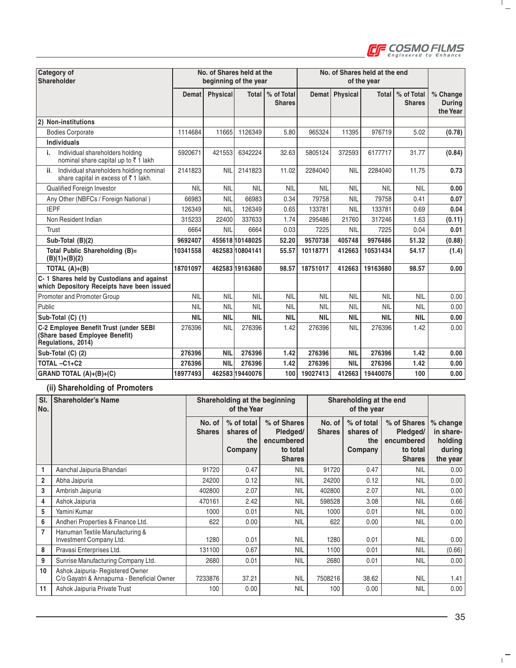

 $\frac{1}{2}$ 

| Category of<br>Shareholder                                                                     |            | No. of Shares held at the<br>beginning of the year |                 |                             |            |                 | No. of Shares held at the end<br>of the year |                             |                                       |
|------------------------------------------------------------------------------------------------|------------|----------------------------------------------------|-----------------|-----------------------------|------------|-----------------|----------------------------------------------|-----------------------------|---------------------------------------|
|                                                                                                | Demat      | <b>Physical</b>                                    | <b>Total</b>    | % of Total<br><b>Shares</b> | Demat      | <b>Physical</b> | <b>Total</b>                                 | % of Total<br><b>Shares</b> | % Change<br><b>During</b><br>the Year |
| (2) Non-institutions                                                                           |            |                                                    |                 |                             |            |                 |                                              |                             |                                       |
| <b>Bodies Corporate</b>                                                                        | 1114684    | 11665                                              | 1126349         | 5.80                        | 965324     | 11395           | 976719                                       | 5.02                        | (0.78)                                |
| <b>Individuals</b>                                                                             |            |                                                    |                 |                             |            |                 |                                              |                             |                                       |
| Individual shareholders holding<br>i.<br>nominal share capital up to ₹1 lakh                   | 5920671    | 421553                                             | 6342224         | 32.63                       | 5805124    | 372593          | 6177717                                      | 31.77                       | (0.84)                                |
| Individual shareholders holding nominal<br>ii.<br>share capital in excess of ₹1 lakh.          | 2141823    | <b>NIL</b>                                         | 2141823         | 11.02                       | 2284040    | <b>NIL</b>      | 2284040                                      | 11.75                       | 0.73                                  |
| <b>Qualified Foreign Investor</b>                                                              | <b>NIL</b> | <b>NIL</b>                                         | <b>NIL</b>      | <b>NIL</b>                  | <b>NIL</b> | <b>NIL</b>      | <b>NIL</b>                                   | <b>NIL</b>                  | 0.00                                  |
| Any Other (NBFCs / Foreign National)                                                           | 66983      | <b>NIL</b>                                         | 66983           | 0.34                        | 79758      | <b>NIL</b>      | 79758                                        | 0.41                        | 0.07                                  |
| <b>IEPF</b>                                                                                    | 126349     | <b>NIL</b>                                         | 126349          | 0.65                        | 133781     | <b>NIL</b>      | 133781                                       | 0.69                        | 0.04                                  |
| Non Resident Indian                                                                            | 315233     | 22400                                              | 337633          | 1.74                        | 295486     | 21760           | 317246                                       | 1.63                        | (0.11)                                |
| Trust                                                                                          | 6664       | <b>NIL</b>                                         | 6664            | 0.03                        | 7225       | <b>NIL</b>      | 7225                                         | 0.04                        | 0.01                                  |
| Sub-Total (B)(2)                                                                               | 9692407    |                                                    | 455618 10148025 | 52.20                       | 9570738    | 405748          | 9976486                                      | 51.32                       | (0.88)                                |
| Total Public Shareholding (B)=<br>$(B)(1)+(B)(2)$                                              | 10341558   |                                                    | 46258310804141  | 55.57                       | 10118771   | 412663          | 10531434                                     | 54.17                       | (1.4)                                 |
| TOTAL $(A)+(B)$                                                                                | 18701097   |                                                    | 462583 19163680 | 98.57                       | 18751017   | 412663          | 19163680                                     | 98.57                       | 0.00                                  |
| C-1 Shares held by Custodians and against<br>which Depository Receipts have been issued        |            |                                                    |                 |                             |            |                 |                                              |                             |                                       |
| Promoter and Promoter Group                                                                    | <b>NIL</b> | <b>NIL</b>                                         | <b>NIL</b>      | <b>NIL</b>                  | <b>NIL</b> | <b>NIL</b>      | <b>NIL</b>                                   | <b>NIL</b>                  | 0.00                                  |
| Public                                                                                         | <b>NIL</b> | <b>NIL</b>                                         | <b>NIL</b>      | <b>NIL</b>                  | <b>NIL</b> | <b>NIL</b>      | <b>NIL</b>                                   | <b>NIL</b>                  | 0.00                                  |
| Sub-Total (C) (1)                                                                              | <b>NIL</b> | <b>NIL</b>                                         | <b>NIL</b>      | <b>NIL</b>                  | <b>NIL</b> | <b>NIL</b>      | <b>NIL</b>                                   | <b>NIL</b>                  | 0.00                                  |
| C-2 Employee Benefit Trust (under SEBI<br>(Share based Employee Benefit)<br>Regulations, 2014) | 276396     | <b>NIL</b>                                         | 276396          | 1.42                        | 276396     | <b>NIL</b>      | 276396                                       | 1.42                        | 0.00                                  |
| Sub-Total (C) (2)                                                                              | 276396     | <b>NIL</b>                                         | 276396          | 1.42                        | 276396     | <b>NIL</b>      | 276396                                       | 1.42                        | 0.00                                  |
| TOTAL-C1+C2                                                                                    | 276396     | <b>NIL</b>                                         | 276396          | 1.42                        | 276396     | <b>NIL</b>      | 276396                                       | 1.42                        | 0.00                                  |
| GRAND TOTAL (A)+(B)+(C)                                                                        | 18977493   |                                                    | 462583 19440076 | 100                         | 19027413   | 412663          | 19440076                                     | 100                         | 0.00                                  |

### **(ii) Shareholding of Promoters**

| SI.<br>No.     | <b>Shareholder's Name</b>                                                      |                         | Shareholding at the beginning<br>of the Year |                                                                    |                         | Shareholding at the end<br>of the year    |                                                                    |                                                          |
|----------------|--------------------------------------------------------------------------------|-------------------------|----------------------------------------------|--------------------------------------------------------------------|-------------------------|-------------------------------------------|--------------------------------------------------------------------|----------------------------------------------------------|
|                |                                                                                | No. of<br><b>Shares</b> | % of total<br>shares of<br>the<br>Company    | % of Shares<br>Pledged/<br>encumbered<br>to total<br><b>Shares</b> | No. of<br><b>Shares</b> | % of total<br>shares of<br>the<br>Company | % of Shares<br>Pledged/<br>encumbered<br>to total<br><b>Shares</b> | $%$ change<br>in share-<br>holding<br>during<br>the year |
| 1              | Aanchal Jaipuria Bhandari                                                      | 91720                   | 0.47                                         | <b>NIL</b>                                                         | 91720                   | 0.47                                      | <b>NIL</b>                                                         | 0.00                                                     |
| $\overline{2}$ | Abha Jaipuria                                                                  | 24200                   | 0.12                                         | <b>NIL</b>                                                         | 24200                   | 0.12                                      | <b>NIL</b>                                                         | 0.00                                                     |
| 3              | Ambrish Jaipuria                                                               | 402800                  | 2.07                                         | <b>NIL</b>                                                         | 402800                  | 2.07                                      | <b>NIL</b>                                                         | 0.00                                                     |
| 4              | Ashok Jaipuria                                                                 | 470161                  | 2.42                                         | <b>NIL</b>                                                         | 598528                  | 3.08                                      | <b>NIL</b>                                                         | 0.66                                                     |
| 5              | Yamini Kumar                                                                   | 1000                    | 0.01                                         | <b>NIL</b>                                                         | 1000                    | 0.01                                      | <b>NIL</b>                                                         | 0.00                                                     |
| 6              | Andheri Properties & Finance Ltd.                                              | 622                     | 0.00                                         | <b>NIL</b>                                                         | 622                     | 0.00                                      | <b>NIL</b>                                                         | 0.00                                                     |
| 7              | Hanuman Textile Manufacturing &<br>Investment Company Ltd.                     | 1280                    | 0.01                                         | <b>NIL</b>                                                         | 1280                    | 0.01                                      | <b>NIL</b>                                                         | 0.00                                                     |
| 8              | Pravasi Enterprises Ltd.                                                       | 131100                  | 0.67                                         | <b>NIL</b>                                                         | 1100                    | 0.01                                      | <b>NIL</b>                                                         | (0.66)                                                   |
| 9              | Sunrise Manufacturing Company Ltd.                                             | 2680                    | 0.01                                         | <b>NIL</b>                                                         | 2680                    | 0.01                                      | <b>NIL</b>                                                         | 0.00                                                     |
| 10             | Ashok Jaipuria- Registered Owner<br>C/o Gayatri & Annapurna - Beneficial Owner | 7233876                 | 37.21                                        | <b>NIL</b>                                                         | 7508216                 | 38.62                                     | <b>NIL</b>                                                         | 1.41                                                     |
| 11             | Ashok Jaipuria Private Trust                                                   | 100                     | 0.00                                         | <b>NIL</b>                                                         | 100                     | 0.00                                      | <b>NIL</b>                                                         | 0.00                                                     |

 $\mathbf{r}^{\pm}$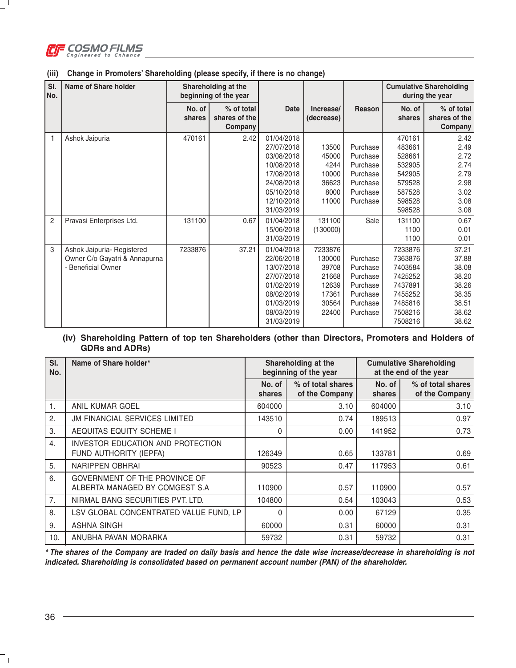

 $\Box$ 

| SI.<br>No.     | <b>Name of Share holder</b>                                                       | Shareholding at the<br>beginning of the year |                                        |                                                                                                                            |                                                                         |                                                                                  |                                                                                                 | <b>Cumulative Shareholding</b><br>during the year                             |
|----------------|-----------------------------------------------------------------------------------|----------------------------------------------|----------------------------------------|----------------------------------------------------------------------------------------------------------------------------|-------------------------------------------------------------------------|----------------------------------------------------------------------------------|-------------------------------------------------------------------------------------------------|-------------------------------------------------------------------------------|
|                |                                                                                   | No. of<br>shares                             | % of total<br>shares of the<br>Company | <b>Date</b>                                                                                                                | Increase/<br>(decrease)                                                 | Reason                                                                           | No. of<br>shares                                                                                | % of total<br>shares of the<br>Company                                        |
|                | Ashok Jaipuria                                                                    | 470161                                       | 2.42                                   | 01/04/2018<br>27/07/2018<br>03/08/2018<br>10/08/2018<br>17/08/2018<br>24/08/2018<br>05/10/2018<br>12/10/2018<br>31/03/2019 | 13500<br>45000<br>4244<br>10000<br>36623<br>8000<br>11000               | Purchase<br>Purchase<br>Purchase<br>Purchase<br>Purchase<br>Purchase<br>Purchase | 470161<br>483661<br>528661<br>532905<br>542905<br>579528<br>587528<br>598528<br>598528          | 2.42<br>2.49<br>2.72<br>2.74<br>2.79<br>2.98<br>3.02<br>3.08<br>3.08          |
| $\overline{2}$ | Pravasi Enterprises Ltd.                                                          | 131100                                       | 0.67                                   | 01/04/2018<br>15/06/2018<br>31/03/2019                                                                                     | 131100<br>(130000)                                                      | Sale                                                                             | 131100<br>1100<br>1100                                                                          | 0.67<br>0.01<br>0.01                                                          |
| 3              | Ashok Jaipuria- Registered<br>Owner C/o Gayatri & Annapurna<br>- Beneficial Owner | 7233876                                      | 37.21                                  | 01/04/2018<br>22/06/2018<br>13/07/2018<br>27/07/2018<br>01/02/2019<br>08/02/2019<br>01/03/2019<br>08/03/2019<br>31/03/2019 | 7233876<br>130000<br>39708<br>21668<br>12639<br>17361<br>30564<br>22400 | Purchase<br>Purchase<br>Purchase<br>Purchase<br>Purchase<br>Purchase<br>Purchase | 7233876<br>7363876<br>7403584<br>7425252<br>7437891<br>7455252<br>7485816<br>7508216<br>7508216 | 37.21<br>37.88<br>38.08<br>38.20<br>38.26<br>38.35<br>38.51<br>38.62<br>38.62 |

#### **(iii) Change in Promoters' Shareholding (please specify, if there is no change)**

## **(iv) Shareholding Pattern of top ten Shareholders (other than Directors, Promoters and Holders of GDRs and ADRs)**

| SI.<br>No.     | Name of Share holder*                                              | Shareholding at the<br>beginning of the year |                                     |                  | <b>Cumulative Shareholding</b><br>at the end of the year |
|----------------|--------------------------------------------------------------------|----------------------------------------------|-------------------------------------|------------------|----------------------------------------------------------|
|                |                                                                    | No. of<br>shares                             | % of total shares<br>of the Company | No. of<br>shares | % of total shares<br>of the Company                      |
| $\mathbf{1}$ . | ANIL KUMAR GOEL                                                    | 604000                                       | 3.10                                | 604000           | 3.10                                                     |
| 2.             | <b>JM FINANCIAL SERVICES LIMITED</b>                               | 143510                                       | 0.74                                | 189513           | 0.97                                                     |
| 3.             | AEQUITAS EQUITY SCHEME I                                           | $\Omega$                                     | 0.00                                | 141952           | 0.73                                                     |
| 4.             | <b>INVESTOR EDUCATION AND PROTECTION</b><br>FUND AUTHORITY (IEPFA) | 126349                                       | 0.65                                | 133781           | 0.69                                                     |
| 5.             | NARIPPEN OBHRAI                                                    | 90523                                        | 0.47                                | 117953           | 0.61                                                     |
| 6.             | GOVERNMENT OF THE PROVINCE OF<br>ALBERTA MANAGED BY COMGEST S.A    | 110900                                       | 0.57                                | 110900           | 0.57                                                     |
| 7.             | NIRMAL BANG SECURITIES PVT. LTD.                                   | 104800                                       | 0.54                                | 103043           | 0.53                                                     |
| 8.             | LSV GLOBAL CONCENTRATED VALUE FUND, LP                             | $\Omega$                                     | 0.00                                | 67129            | 0.35                                                     |
| 9.             | <b>ASHNA SINGH</b>                                                 | 60000                                        | 0.31                                | 60000            | 0.31                                                     |
| 10.            | ANUBHA PAVAN MORARKA                                               | 59732                                        | 0.31                                | 59732            | 0.31                                                     |

**\* The shares of the Company are traded on daily basis and hence the date wise increase/decrease in shareholding is not indicated. Shareholding is consolidated based on permanent account number (PAN) of the shareholder.**

 $^{-}$  +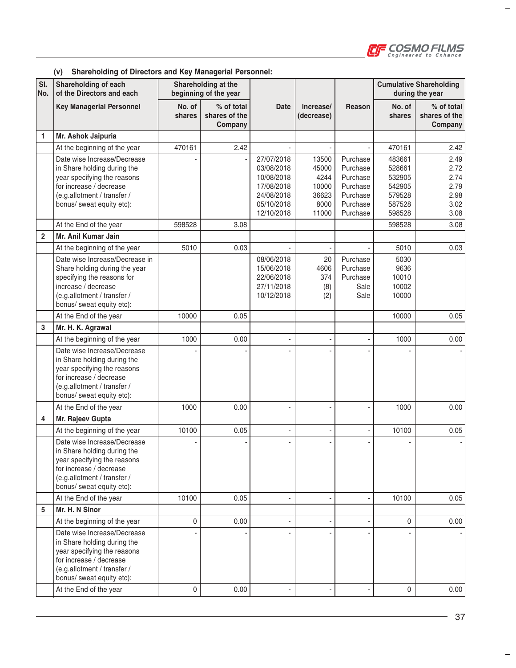

 $\frac{1}{2}$ 

#### **(v) Shareholding of Directors and Key Managerial Personnel:**

| SI.<br>No.     | Shareholding of each<br>of the Directors and each                                                                                                                                |                  | Shareholding at the<br>beginning of the year |                                                                                                |                                                           |                                                                                  |                                                                    | <b>Cumulative Shareholding</b><br>during the year    |
|----------------|----------------------------------------------------------------------------------------------------------------------------------------------------------------------------------|------------------|----------------------------------------------|------------------------------------------------------------------------------------------------|-----------------------------------------------------------|----------------------------------------------------------------------------------|--------------------------------------------------------------------|------------------------------------------------------|
|                | <b>Key Managerial Personnel</b>                                                                                                                                                  | No. of<br>shares | % of total<br>shares of the<br>Company       | <b>Date</b>                                                                                    | Increase/<br>(decrease)                                   | Reason                                                                           | No. of<br>shares                                                   | % of total<br>shares of the<br>Company               |
| 1              | Mr. Ashok Jaipuria                                                                                                                                                               |                  |                                              |                                                                                                |                                                           |                                                                                  |                                                                    |                                                      |
|                | At the beginning of the year                                                                                                                                                     | 470161           | 2.42                                         |                                                                                                |                                                           |                                                                                  | 470161                                                             | 2.42                                                 |
|                | Date wise Increase/Decrease<br>in Share holding during the<br>year specifying the reasons<br>for increase / decrease<br>(e.g.allotment / transfer /<br>bonus/ sweat equity etc): |                  |                                              | 27/07/2018<br>03/08/2018<br>10/08/2018<br>17/08/2018<br>24/08/2018<br>05/10/2018<br>12/10/2018 | 13500<br>45000<br>4244<br>10000<br>36623<br>8000<br>11000 | Purchase<br>Purchase<br>Purchase<br>Purchase<br>Purchase<br>Purchase<br>Purchase | 483661<br>528661<br>532905<br>542905<br>579528<br>587528<br>598528 | 2.49<br>2.72<br>2.74<br>2.79<br>2.98<br>3.02<br>3.08 |
|                | At the End of the year                                                                                                                                                           | 598528           | 3.08                                         |                                                                                                |                                                           |                                                                                  | 598528                                                             | 3.08                                                 |
| $\overline{2}$ | Mr. Anil Kumar Jain                                                                                                                                                              |                  |                                              |                                                                                                |                                                           |                                                                                  |                                                                    |                                                      |
|                | At the beginning of the year                                                                                                                                                     | 5010             | 0.03                                         |                                                                                                |                                                           |                                                                                  | 5010                                                               | 0.03                                                 |
|                | Date wise Increase/Decrease in<br>Share holding during the year<br>specifying the reasons for<br>increase / decrease<br>(e.g.allotment / transfer /<br>bonus/ sweat equity etc): |                  |                                              | 08/06/2018<br>15/06/2018<br>22/06/2018<br>27/11/2018<br>10/12/2018                             | 20<br>4606<br>374<br>(8)<br>(2)                           | Purchase<br>Purchase<br>Purchase<br>Sale<br>Sale                                 | 5030<br>9636<br>10010<br>10002<br>10000                            |                                                      |
|                | At the End of the year                                                                                                                                                           | 10000            | 0.05                                         |                                                                                                |                                                           |                                                                                  | 10000                                                              | 0.05                                                 |
| 3              | Mr. H. K. Agrawal                                                                                                                                                                |                  |                                              |                                                                                                |                                                           |                                                                                  |                                                                    |                                                      |
|                | At the beginning of the year                                                                                                                                                     | 1000             | 0.00                                         | ä,                                                                                             |                                                           |                                                                                  | 1000                                                               | 0.00                                                 |
|                | Date wise Increase/Decrease<br>in Share holding during the<br>year specifying the reasons<br>for increase / decrease<br>(e.g.allotment / transfer /<br>bonus/ sweat equity etc): |                  |                                              |                                                                                                |                                                           |                                                                                  |                                                                    |                                                      |
|                | At the End of the year                                                                                                                                                           | 1000             | 0.00                                         |                                                                                                |                                                           |                                                                                  | 1000                                                               | 0.00                                                 |
| 4              | Mr. Rajeev Gupta                                                                                                                                                                 |                  |                                              |                                                                                                |                                                           |                                                                                  |                                                                    |                                                      |
|                | At the beginning of the year                                                                                                                                                     | 10100            | 0.05                                         |                                                                                                |                                                           |                                                                                  | 10100                                                              | 0.05                                                 |
|                | Date wise Increase/Decrease<br>in Share holding during the<br>year specifying the reasons<br>for increase / decrease<br>(e.g.allotment / transfer /<br>bonus/ sweat equity etc): |                  |                                              |                                                                                                |                                                           |                                                                                  |                                                                    |                                                      |
|                | At the End of the year                                                                                                                                                           | 10100            | 0.05                                         | ä,                                                                                             |                                                           |                                                                                  | 10100                                                              | 0.05                                                 |
| 5              | Mr. H. N Sinor                                                                                                                                                                   |                  |                                              |                                                                                                |                                                           |                                                                                  |                                                                    |                                                      |
|                | At the beginning of the year                                                                                                                                                     | $\mathbf 0$      | 0.00                                         | ٠                                                                                              |                                                           |                                                                                  | 0                                                                  | 0.00                                                 |
|                | Date wise Increase/Decrease<br>in Share holding during the<br>year specifying the reasons<br>for increase / decrease<br>(e.g.allotment / transfer /<br>bonus/ sweat equity etc): |                  |                                              |                                                                                                |                                                           |                                                                                  |                                                                    |                                                      |
|                | At the End of the year                                                                                                                                                           | 0                | 0.00                                         |                                                                                                |                                                           |                                                                                  | 0                                                                  | 0.00                                                 |

 $\mathbf{r}^{\pm}$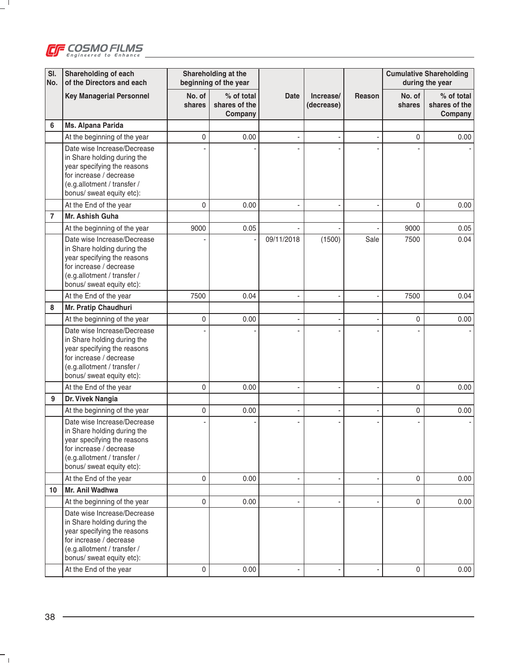

 $-$ <sup>1</sup>

| SI.<br>No.     | Shareholding of each<br>of the Directors and each                                                                                                                                |                  | Shareholding at the<br>beginning of the year |             |                         |        |                  | <b>Cumulative Shareholding</b><br>during the year |
|----------------|----------------------------------------------------------------------------------------------------------------------------------------------------------------------------------|------------------|----------------------------------------------|-------------|-------------------------|--------|------------------|---------------------------------------------------|
|                | <b>Key Managerial Personnel</b>                                                                                                                                                  | No. of<br>shares | % of total<br>shares of the<br>Company       | <b>Date</b> | Increase/<br>(decrease) | Reason | No. of<br>shares | % of total<br>shares of the<br>Company            |
| 6              | Ms. Alpana Parida                                                                                                                                                                |                  |                                              |             |                         |        |                  |                                                   |
|                | At the beginning of the year                                                                                                                                                     | 0                | 0.00                                         |             |                         |        | $\mathbf 0$      | 0.00                                              |
|                | Date wise Increase/Decrease<br>in Share holding during the<br>year specifying the reasons<br>for increase / decrease<br>(e.g.allotment / transfer /<br>bonus/ sweat equity etc): |                  |                                              |             |                         |        |                  |                                                   |
|                | At the End of the year                                                                                                                                                           | 0                | 0.00                                         |             |                         |        | $\mathbf{0}$     | 0.00                                              |
| $\overline{7}$ | Mr. Ashish Guha                                                                                                                                                                  |                  |                                              |             |                         |        |                  |                                                   |
|                | At the beginning of the year                                                                                                                                                     | 9000             | 0.05                                         |             |                         |        | 9000             | 0.05                                              |
|                | Date wise Increase/Decrease<br>in Share holding during the<br>year specifying the reasons<br>for increase / decrease<br>(e.g.allotment / transfer /<br>bonus/ sweat equity etc): |                  |                                              | 09/11/2018  | (1500)                  | Sale   | 7500             | 0.04                                              |
|                | At the End of the year                                                                                                                                                           | 7500             | 0.04                                         |             |                         |        | 7500             | 0.04                                              |
| 8              | Mr. Pratip Chaudhuri                                                                                                                                                             |                  |                                              |             |                         |        |                  |                                                   |
|                | At the beginning of the year                                                                                                                                                     | 0                | 0.00                                         |             |                         |        | $\mathbf 0$      | 0.00                                              |
|                | Date wise Increase/Decrease<br>in Share holding during the<br>year specifying the reasons<br>for increase / decrease<br>(e.g.allotment / transfer /<br>bonus/ sweat equity etc): |                  |                                              |             |                         |        |                  |                                                   |
|                | At the End of the year                                                                                                                                                           | 0                | 0.00                                         |             |                         |        | $\mathbf 0$      | 0.00                                              |
| 9              | Dr. Vivek Nangia                                                                                                                                                                 |                  |                                              |             |                         |        |                  |                                                   |
|                | At the beginning of the year                                                                                                                                                     | 0                | 0.00                                         |             |                         |        | 0                | 0.00                                              |
|                | Date wise Increase/Decrease<br>in Share holding during the<br>year specifying the reasons<br>for increase / decrease<br>(e.g.allotment / transfer /<br>bonus/ sweat equity etc): |                  |                                              |             |                         |        |                  |                                                   |
|                | At the End of the year                                                                                                                                                           | $\mathbf 0$      | 0.00                                         | ä,          |                         |        | $\Omega$         | 0.00                                              |
| 10             | Mr. Anil Wadhwa                                                                                                                                                                  |                  |                                              |             |                         |        |                  |                                                   |
|                | At the beginning of the year                                                                                                                                                     | 0                | 0.00                                         | ٠           |                         |        | 0                | 0.00                                              |
|                | Date wise Increase/Decrease<br>in Share holding during the<br>year specifying the reasons<br>for increase / decrease<br>(e.g.allotment / transfer /<br>bonus/ sweat equity etc): |                  |                                              |             |                         |        |                  |                                                   |
|                | At the End of the year                                                                                                                                                           | 0                | 0.00                                         |             |                         |        | $\mathbf 0$      | 0.00                                              |

 $\overline{\phantom{a}}_1$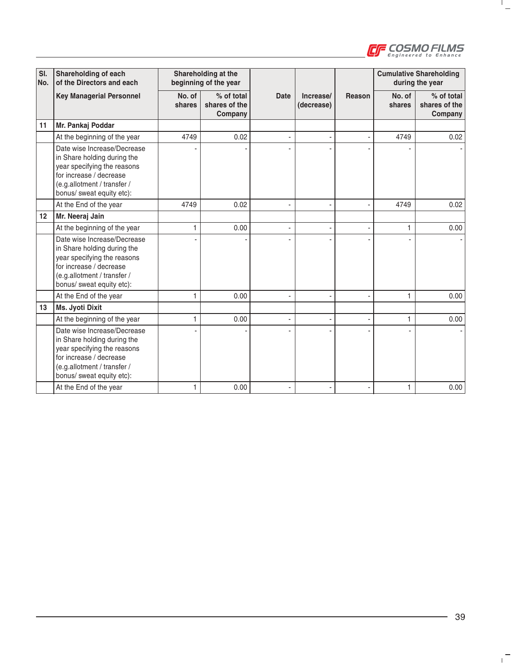

 $\frac{1}{2}$ 

| SI.<br>No. | Shareholding of each<br>of the Directors and each                                                                                                                                |                  | Shareholding at the<br>beginning of the year |                |                         |        |                  | <b>Cumulative Shareholding</b><br>during the year |
|------------|----------------------------------------------------------------------------------------------------------------------------------------------------------------------------------|------------------|----------------------------------------------|----------------|-------------------------|--------|------------------|---------------------------------------------------|
|            | <b>Key Managerial Personnel</b>                                                                                                                                                  | No. of<br>shares | % of total<br>shares of the<br>Company       | <b>Date</b>    | Increase/<br>(decrease) | Reason | No. of<br>shares | % of total<br>shares of the<br>Company            |
| 11         | Mr. Pankaj Poddar                                                                                                                                                                |                  |                                              |                |                         |        |                  |                                                   |
|            | At the beginning of the year                                                                                                                                                     | 4749             | 0.02                                         |                |                         |        | 4749             | 0.02                                              |
|            | Date wise Increase/Decrease<br>in Share holding during the<br>year specifying the reasons<br>for increase / decrease<br>(e.g.allotment / transfer /<br>bonus/ sweat equity etc): |                  |                                              |                |                         |        |                  |                                                   |
|            | At the End of the year                                                                                                                                                           | 4749             | 0.02                                         | $\overline{a}$ |                         |        | 4749             | 0.02                                              |
| 12         | Mr. Neeraj Jain                                                                                                                                                                  |                  |                                              |                |                         |        |                  |                                                   |
|            | At the beginning of the year                                                                                                                                                     |                  | 0.00                                         |                |                         |        | 1                | 0.00                                              |
|            | Date wise Increase/Decrease<br>in Share holding during the<br>year specifying the reasons<br>for increase / decrease<br>(e.g.allotment / transfer /<br>bonus/ sweat equity etc): |                  |                                              |                |                         |        |                  |                                                   |
|            | At the End of the year                                                                                                                                                           | 1                | 0.00                                         | ä,             |                         |        | 1                | 0.00                                              |
| 13         | Ms. Jyoti Dixit                                                                                                                                                                  |                  |                                              |                |                         |        |                  |                                                   |
|            | At the beginning of the year                                                                                                                                                     | 1                | 0.00                                         | ٠              |                         |        | 1                | 0.00                                              |
|            | Date wise Increase/Decrease<br>in Share holding during the<br>year specifying the reasons<br>for increase / decrease<br>(e.g.allotment / transfer /<br>bonus/ sweat equity etc): |                  |                                              |                |                         |        |                  |                                                   |
|            | At the End of the year                                                                                                                                                           | 1                | 0.00                                         |                |                         |        | 1                | 0.00                                              |

 $\mathbf{r}^{\pm}$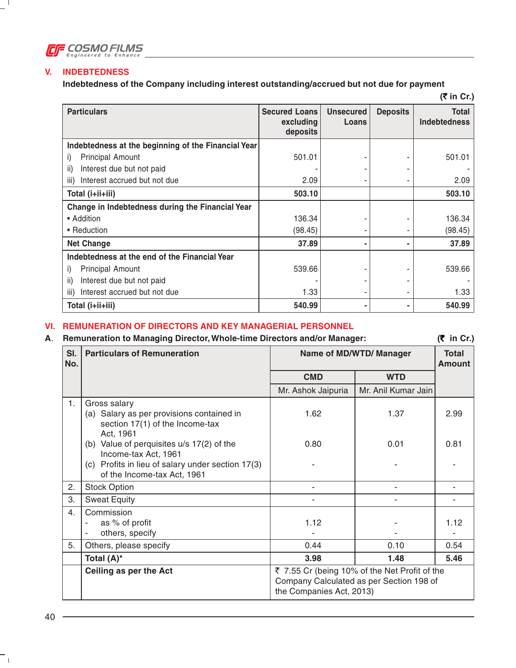

## **V. INDEBTEDNESS**

 $-$ <sup>1</sup>

**Indebtedness of the Company including interest outstanding/accrued but not due for payment**

| $(5 \infty)$                                        |                                               |                           |                 |                                     |
|-----------------------------------------------------|-----------------------------------------------|---------------------------|-----------------|-------------------------------------|
| <b>Particulars</b>                                  | <b>Secured Loans</b><br>excluding<br>deposits | <b>Unsecured</b><br>Loans | <b>Deposits</b> | <b>Total</b><br><b>Indebtedness</b> |
| Indebtedness at the beginning of the Financial Year |                                               |                           |                 |                                     |
| <b>Principal Amount</b><br>i)                       | 501.01                                        |                           |                 | 501.01                              |
| Interest due but not paid<br>ii)                    |                                               |                           |                 |                                     |
| Interest accrued but not due<br>iii)                | 2.09                                          |                           |                 | 2.09                                |
| Total (i+ii+iii)                                    | 503.10                                        |                           |                 | 503.10                              |
| Change in Indebtedness during the Financial Year    |                                               |                           |                 |                                     |
| • Addition                                          | 136.34                                        |                           |                 | 136.34                              |
| • Reduction                                         | (98.45)                                       |                           |                 | (98.45)                             |
| <b>Net Change</b>                                   | 37.89                                         |                           |                 | 37.89                               |
| Indebtedness at the end of the Financial Year       |                                               |                           |                 |                                     |
| <b>Principal Amount</b><br>i)                       | 539.66                                        |                           |                 | 539.66                              |
| Interest due but not paid<br>ii)                    |                                               |                           |                 |                                     |
| Interest accrued but not due<br>iii)                | 1.33                                          |                           |                 | 1.33                                |
| Total (i+ii+iii)                                    | 540.99                                        |                           |                 | 540.99                              |

## **VI. REMUNERATION OF DIRECTORS AND KEY MANAGERIAL PERSONNEL**

### **A**. **Remuneration to Managing Director, Whole-time Directors and/or Manager: (**` **in Cr.)**

| SI.<br>No. | <b>Particulars of Remuneration</b>                                                                                                                    | <b>Name of MD/WTD/ Manager</b>                                                                                        | <b>Total</b><br><b>Amount</b> |      |  |
|------------|-------------------------------------------------------------------------------------------------------------------------------------------------------|-----------------------------------------------------------------------------------------------------------------------|-------------------------------|------|--|
|            |                                                                                                                                                       | <b>CMD</b>                                                                                                            | <b>WTD</b>                    |      |  |
|            |                                                                                                                                                       | Mr. Ashok Jaipuria                                                                                                    | Mr. Anil Kumar Jain           |      |  |
| 1.         | Gross salary<br>(a) Salary as per provisions contained in<br>section 17(1) of the Income-tax<br>Act, 1961                                             | 1.62                                                                                                                  | 1.37                          | 2.99 |  |
|            | (b) Value of perquisites u/s 17(2) of the<br>Income-tax Act, 1961<br>(c) Profits in lieu of salary under section 17(3)<br>of the Income-tax Act, 1961 | 0.80                                                                                                                  | 0.01                          | 0.81 |  |
| 2.         | <b>Stock Option</b>                                                                                                                                   |                                                                                                                       |                               |      |  |
| 3.         | <b>Sweat Equity</b>                                                                                                                                   |                                                                                                                       |                               |      |  |
| 4.         | Commission<br>as % of profit<br>others, specify                                                                                                       | 1.12                                                                                                                  |                               | 1.12 |  |
| 5.         | Others, please specify                                                                                                                                | 0.44                                                                                                                  | 0.10                          | 0.54 |  |
|            | Total (A)*                                                                                                                                            | 3.98                                                                                                                  | 1.48                          | 5.46 |  |
|            | Ceiling as per the Act                                                                                                                                | ₹ 7.55 Cr (being 10% of the Net Profit of the<br>Company Calculated as per Section 198 of<br>the Companies Act, 2013) |                               |      |  |

 $\overline{\phantom{a}}_1$